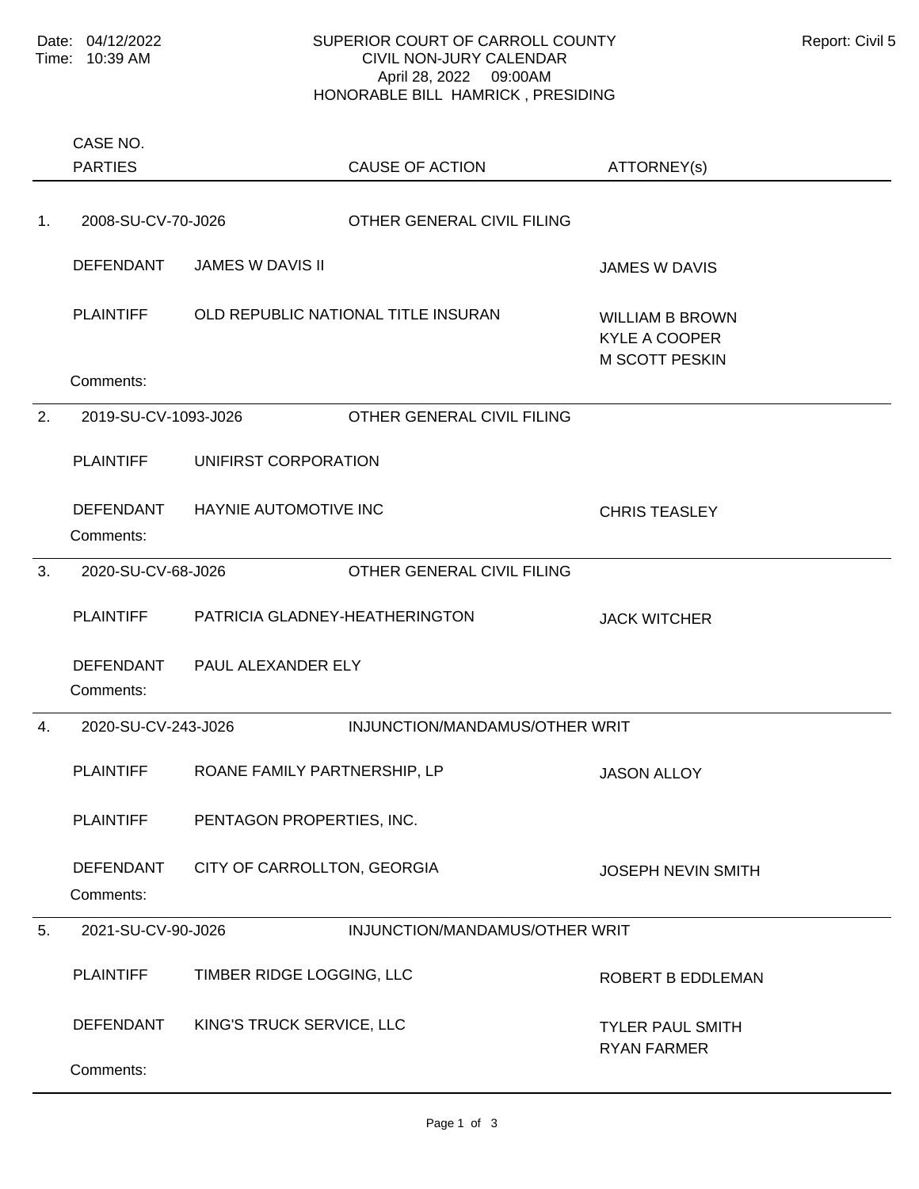PARTIES CASE NO.

## SUPERIOR COURT OF CARROLL COUNTY Report: Civil 5 CIVIL NON-JURY CALENDAR April 28, 2022 09:00AM HONORABLE BILL HAMRICK , PRESIDING

ATTORNEY(s)

CAUSE OF ACTION

| 1. | 2008-SU-CV-70-J026            |                                | OTHER GENERAL CIVIL FILING          |                                                                         |
|----|-------------------------------|--------------------------------|-------------------------------------|-------------------------------------------------------------------------|
|    | <b>DEFENDANT</b>              | <b>JAMES W DAVIS II</b>        |                                     | <b>JAMES W DAVIS</b>                                                    |
|    | <b>PLAINTIFF</b>              |                                | OLD REPUBLIC NATIONAL TITLE INSURAN | <b>WILLIAM B BROWN</b><br><b>KYLE A COOPER</b><br><b>M SCOTT PESKIN</b> |
|    | Comments:                     |                                |                                     |                                                                         |
| 2. | 2019-SU-CV-1093-J026          |                                | OTHER GENERAL CIVIL FILING          |                                                                         |
|    | <b>PLAINTIFF</b>              | UNIFIRST CORPORATION           |                                     |                                                                         |
|    | <b>DEFENDANT</b><br>Comments: | <b>HAYNIE AUTOMOTIVE INC</b>   |                                     | <b>CHRIS TEASLEY</b>                                                    |
| 3. | 2020-SU-CV-68-J026            |                                | OTHER GENERAL CIVIL FILING          |                                                                         |
|    | <b>PLAINTIFF</b>              | PATRICIA GLADNEY-HEATHERINGTON |                                     | <b>JACK WITCHER</b>                                                     |
|    | <b>DEFENDANT</b><br>Comments: | PAUL ALEXANDER ELY             |                                     |                                                                         |
| 4. | 2020-SU-CV-243-J026           |                                | INJUNCTION/MANDAMUS/OTHER WRIT      |                                                                         |
|    | <b>PLAINTIFF</b>              | ROANE FAMILY PARTNERSHIP, LP   |                                     | <b>JASON ALLOY</b>                                                      |
|    | <b>PLAINTIFF</b>              | PENTAGON PROPERTIES, INC.      |                                     |                                                                         |
|    | <b>DEFENDANT</b><br>Comments: | CITY OF CARROLLTON, GEORGIA    |                                     | <b>JOSEPH NEVIN SMITH</b>                                               |
| 5. | 2021-SU-CV-90-J026            |                                | INJUNCTION/MANDAMUS/OTHER WRIT      |                                                                         |
|    | <b>PLAINTIFF</b>              | TIMBER RIDGE LOGGING, LLC      |                                     | ROBERT B EDDLEMAN                                                       |
|    | DEFENDANT                     | KING'S TRUCK SERVICE, LLC      |                                     | <b>TYLER PAUL SMITH</b><br><b>RYAN FARMER</b>                           |
|    | Comments:                     |                                |                                     |                                                                         |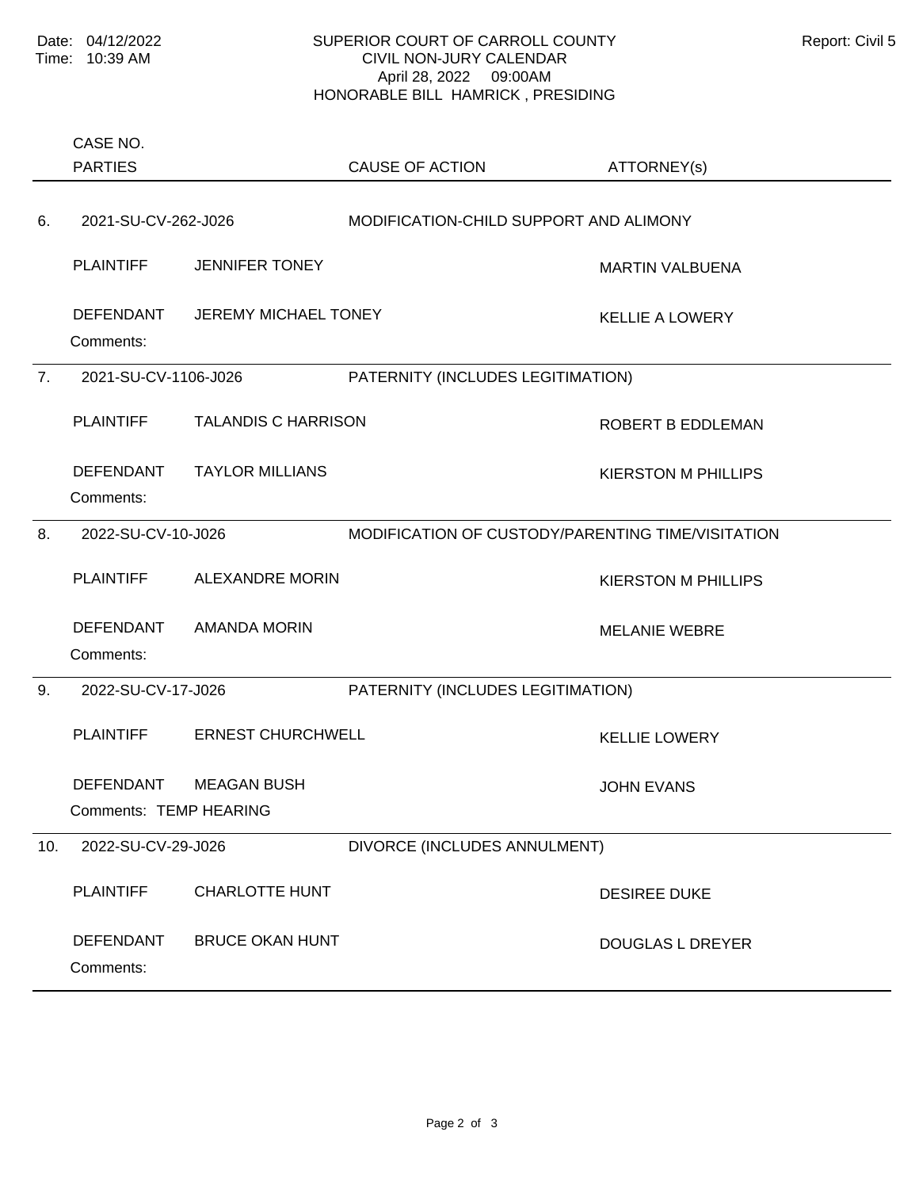## SUPERIOR COURT OF CARROLL COUNTY Report: Civil 5 CIVIL NON-JURY CALENDAR April 28, 2022 09:00AM HONORABLE BILL HAMRICK , PRESIDING

|     | CASE NO.<br><b>PARTIES</b>                 |                             | <b>CAUSE OF ACTION</b>                            | ATTORNEY(s)                |
|-----|--------------------------------------------|-----------------------------|---------------------------------------------------|----------------------------|
| 6.  | 2021-SU-CV-262-J026                        |                             | MODIFICATION-CHILD SUPPORT AND ALIMONY            |                            |
|     | <b>PLAINTIFF</b>                           | <b>JENNIFER TONEY</b>       |                                                   | <b>MARTIN VALBUENA</b>     |
|     | <b>DEFENDANT</b><br>Comments:              | <b>JEREMY MICHAEL TONEY</b> |                                                   | <b>KELLIE A LOWERY</b>     |
| 7.  | 2021-SU-CV-1106-J026                       |                             | PATERNITY (INCLUDES LEGITIMATION)                 |                            |
|     | <b>PLAINTIFF</b>                           | <b>TALANDIS C HARRISON</b>  |                                                   | ROBERT B EDDLEMAN          |
|     | <b>DEFENDANT</b><br>Comments:              | <b>TAYLOR MILLIANS</b>      |                                                   | <b>KIERSTON M PHILLIPS</b> |
| 8.  | 2022-SU-CV-10-J026                         |                             | MODIFICATION OF CUSTODY/PARENTING TIME/VISITATION |                            |
|     | <b>PLAINTIFF</b>                           | <b>ALEXANDRE MORIN</b>      |                                                   | <b>KIERSTON M PHILLIPS</b> |
|     | <b>DEFENDANT</b><br>Comments:              | <b>AMANDA MORIN</b>         |                                                   | <b>MELANIE WEBRE</b>       |
| 9.  | 2022-SU-CV-17-J026                         |                             | PATERNITY (INCLUDES LEGITIMATION)                 |                            |
|     | <b>PLAINTIFF</b>                           | <b>ERNEST CHURCHWELL</b>    |                                                   | <b>KELLIE LOWERY</b>       |
|     | <b>DEFENDANT</b><br>Comments: TEMP HEARING | <b>MEAGAN BUSH</b>          |                                                   | <b>JOHN EVANS</b>          |
| 10. | 2022-SU-CV-29-J026                         |                             | DIVORCE (INCLUDES ANNULMENT)                      |                            |
|     | <b>PLAINTIFF</b>                           | <b>CHARLOTTE HUNT</b>       |                                                   | <b>DESIREE DUKE</b>        |
|     | <b>DEFENDANT</b><br>Comments:              | <b>BRUCE OKAN HUNT</b>      |                                                   | <b>DOUGLAS L DREYER</b>    |